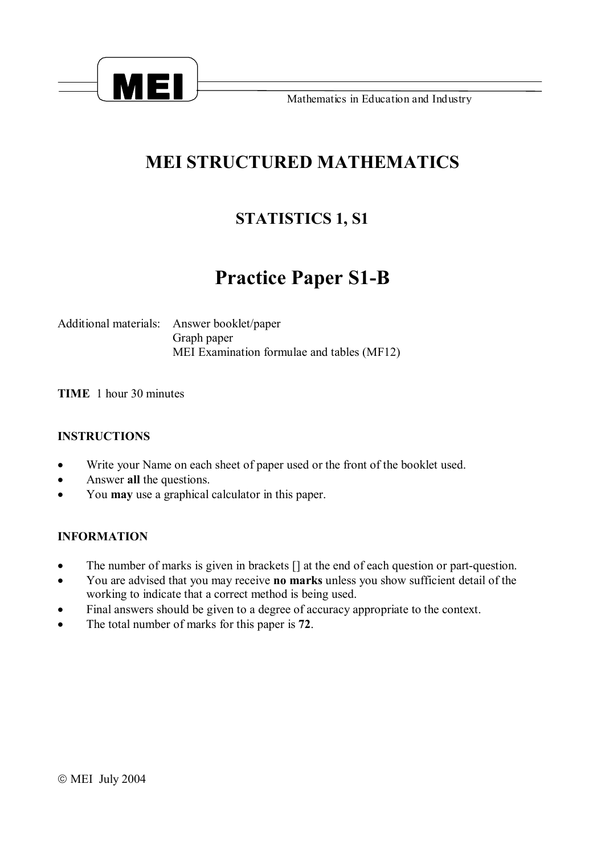

**Mathematics in Education and Industry** 

## **MEI STRUCTURED MATHEMATICS**

### **STATISTICS 1, S1**

# **Practice Paper S1-B**

Additional materials: Answer booklet/paper Graph paper MEI Examination formulae and tables (MF12)

**TIME** 1 hour 30 minutes

#### **INSTRUCTIONS**

- · Write your Name on each sheet of paper used or the front of the booklet used.
- · Answer **all** the questions.
- · You **may** use a graphical calculator in this paper.

#### **INFORMATION**

- The number of marks is given in brackets  $\lceil \rceil$  at the end of each question or part-question.
- · You are advised that you may receive **no marks** unless you show sufficient detail of the working to indicate that a correct method is being used.
- · Final answers should be given to a degree of accuracy appropriate to the context.
- · The total number of marks for this paper is **72**.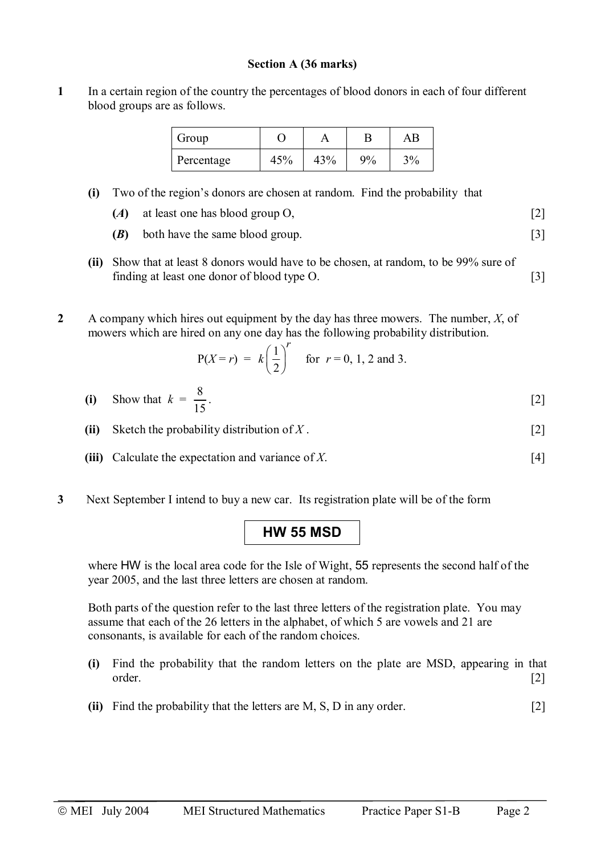#### **Section A (36 marks)**

**1** In a certain region of the country the percentages of blood donors in each of four different blood groups are as follows.

| Group      |     |     |    | ΑB |
|------------|-----|-----|----|----|
| Percentage | 45% | 43% | 9% | 3% |

**(i)** Two of the region's donors are chosen at random. Find the probability that

|  | at least one has blood group O, |  |
|--|---------------------------------|--|
|--|---------------------------------|--|

- **(***B***)** both have the same blood group. [3]
- **(ii)** Show that at least 8 donors would have to be chosen, at random, to be 99% sure of finding at least one donor of blood type O. [3]
- **2** A company which hires out equipment by the day has three mowers. The number, *X*, of mowers which are hired on any one day has the following probability distribution.

$$
P(X=r) = k\left(\frac{1}{2}\right)^r
$$
 for  $r = 0, 1, 2$  and 3.

- **(i)** Show that  $k = \frac{8}{11}$ 15 .  $[2]$
- **(ii)** Sketch the probability distribution of *X* . [2]
- **(iii)** Calculate the expectation and variance of *X*. [4]
- **3** Next September I intend to buy a new car. Its registration plate will be of the form

### **HW 55 MSD**

where HW is the local area code for the Isle of Wight, 55 represents the second half of the year 2005, and the last three letters are chosen at random.

Both parts of the question refer to the last three letters of the registration plate. You may assume that each of the 26 letters in the alphabet, of which 5 are vowels and 21 are consonants, is available for each of the random choices.

- **(i)** Find the probability that the random letters on the plate are MSD, appearing in that order. [2]
- **(ii)** Find the probability that the letters are M, S, D in any order. [2]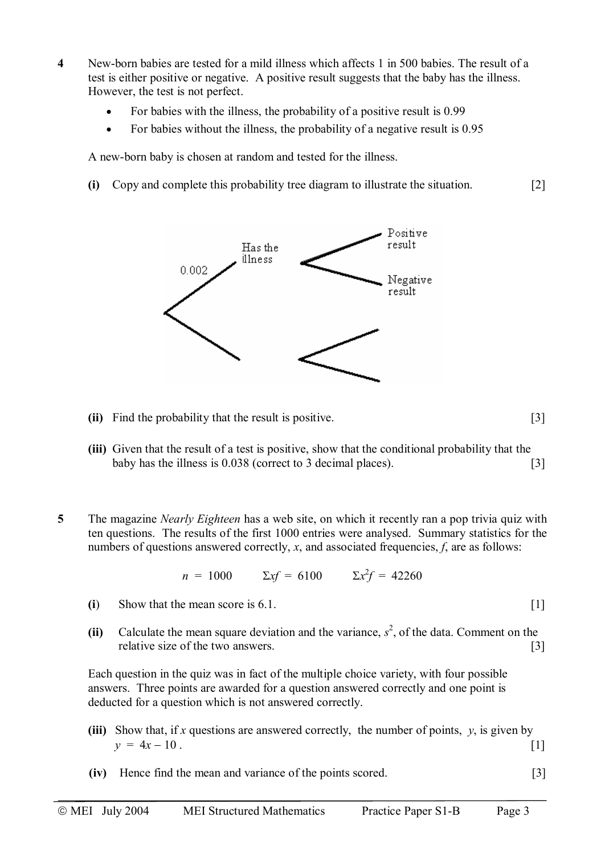- **4** New-born babies are tested for a mild illness which affects 1 in 500 babies. The result of a test is either positive or negative. A positive result suggests that the baby has the illness. However, the test is not perfect.
	- For babies with the illness, the probability of a positive result is 0.99
	- For babies without the illness, the probability of a negative result is 0.95

A new-born baby is chosen at random and tested for the illness.

**(i)** Copy and complete this probability tree diagram to illustrate the situation. [2]



- **(ii)** Find the probability that the result is positive. [3]
- **(iii)** Given that the result of a test is positive, show that the conditional probability that the baby has the illness is 0.038 (correct to 3 decimal places). [3]

**5** The magazine *Nearly Eighteen* has a web site, on which it recently ran a pop trivia quiz with ten questions. The results of the first 1000 entries were analysed. Summary statistics for the numbers of questions answered correctly, *x*, and associated frequencies, *f*, are as follows:

$$
n = 1000 \qquad \Sigma x f = 6100 \qquad \Sigma x^2 f = 42260
$$

- **(i**) Show that the mean score is 6.1. [1]
- (ii) Calculate the mean square deviation and the variance,  $s^2$ , of the data. Comment on the relative size of the two answers. [3]

Each question in the quiz was in fact of the multiple choice variety, with four possible answers. Three points are awarded for a question answered correctly and one point is deducted for a question which is not answered correctly.

- **(iii)** Show that, if *x* questions are answered correctly, the number of points, *y*, is given by  $y = 4x - 10$ .
- **(iv)** Hence find the mean and variance of the points scored. [3]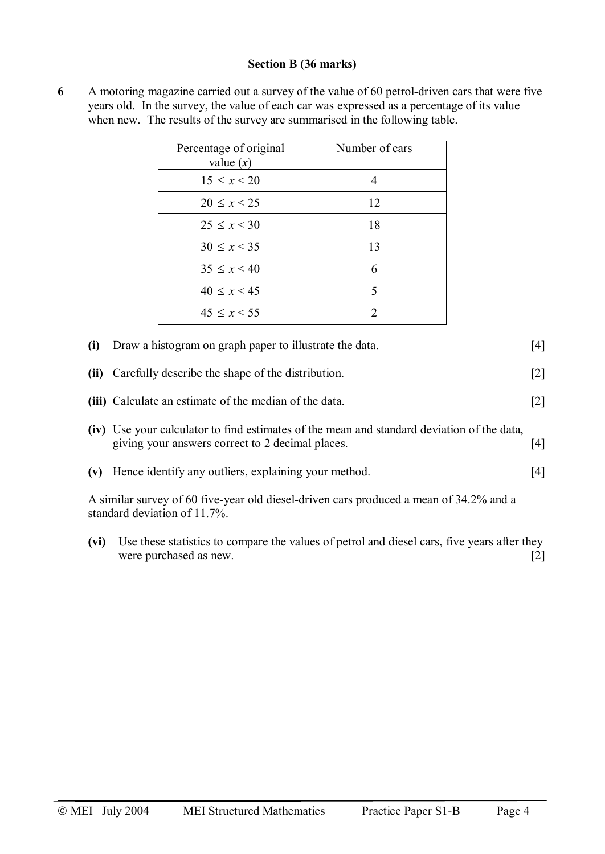#### **Section B (36 marks)**

|      | Percentage of original<br>value $(x)$                                                                                                          | Number of cars |       |
|------|------------------------------------------------------------------------------------------------------------------------------------------------|----------------|-------|
|      | $15 \le x < 20$                                                                                                                                | $\overline{4}$ |       |
|      | $20 \leq x \leq 25$                                                                                                                            | 12             |       |
|      | $25 \le x < 30$                                                                                                                                | 18             |       |
|      | $30 \le x < 35$                                                                                                                                | 13             |       |
|      | $35 \le x < 40$                                                                                                                                | 6              |       |
|      | $40 \le x < 45$                                                                                                                                | 5              |       |
|      | $45 \leq x \leq 55$                                                                                                                            | $\overline{2}$ |       |
| (i)  | Draw a histogram on graph paper to illustrate the data.                                                                                        |                | [4]   |
| (ii) | Carefully describe the shape of the distribution.                                                                                              |                | $[2]$ |
|      | (iii) Calculate an estimate of the median of the data.                                                                                         |                | $[2]$ |
|      | (iv) Use your calculator to find estimates of the mean and standard deviation of the data,<br>giving your answers correct to 2 decimal places. |                | $[4]$ |
| (v)  | Hence identify any outliers, explaining your method.                                                                                           |                | [4]   |
|      | A similar survey of 60 five-year old diesel-driven cars produced a mean of 34.2% and a<br>standard deviation of 11.7%.                         |                |       |
| (vi) | Use these statistics to compare the values of petrol and diesel cars, five years after they<br>were purchased as new.                          |                | $[2]$ |

**6** A motoring magazine carried out a survey of the value of 60 petrol-driven cars that were five years old. In the survey, the value of each car was expressed as a percentage of its value when new. The results of the survey are summarised in the following table.

ã MEI July 2004 MEI Structured Mathematics Practice Paper S1-B Page 4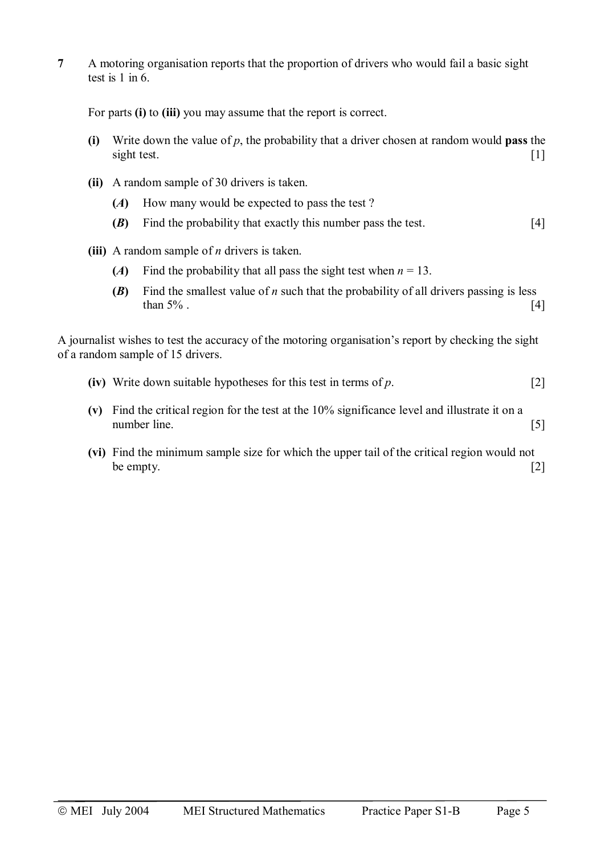**7** A motoring organisation reports that the proportion of drivers who would fail a basic sight test is  $1$  in  $6$ .

For parts **(i)** to **(iii)** you may assume that the report is correct.

- **(i)** Write down the value of *p*, the probability that a driver chosen at random would **pass** the sight test.
- **(ii)** A random sample of 30 drivers is taken.
	- **(***A***)** How many would be expected to pass the test ?
	- **(***B***)** Find the probability that exactly this number pass the test. [4]
- **(iii)** A random sample of *n* drivers is taken.
	- (*A*) Find the probability that all pass the sight test when  $n = 13$ .
	- **(***B***)** Find the smallest value of *n* such that the probability of all drivers passing is less than  $5\%$ . [4]

A journalist wishes to test the accuracy of the motoring organisation's report by checking the sight of a random sample of 15 drivers.

- **(iv)** Write down suitable hypotheses for this test in terms of *p*. [2]
- **(v)** Find the critical region for the test at the 10% significance level and illustrate it on a number line. [5]
- **(vi)** Find the minimum sample size for which the upper tail of the critical region would not be empty.  $[2]$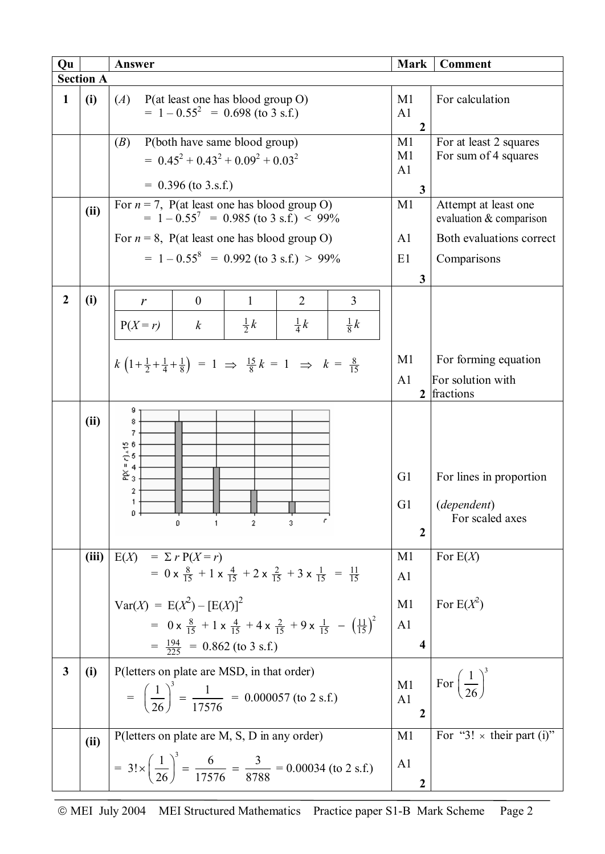| Qu               |                  | Answer                                                                                                                | <b>Mark</b>                                        | <b>Comment</b>                                  |
|------------------|------------------|-----------------------------------------------------------------------------------------------------------------------|----------------------------------------------------|-------------------------------------------------|
|                  | <b>Section A</b> |                                                                                                                       |                                                    |                                                 |
| 1                | (i)              | (A)<br>P(at least one has blood group O)<br>$= 1 - 0.55^{2} = 0.698$ (to 3 s.f.)                                      | M <sub>1</sub><br>A <sub>1</sub><br>$\overline{2}$ | For calculation                                 |
|                  |                  | P(both have same blood group)<br>( <i>B</i> )<br>$= 0.45^2 + 0.43^2 + 0.09^2 + 0.03^2$<br>$= 0.396$ (to 3.s.f.)       |                                                    | For at least 2 squares<br>For sum of 4 squares  |
|                  |                  |                                                                                                                       | 3                                                  |                                                 |
|                  | (ii)             | For $n = 7$ , P(at least one has blood group O)<br>$= 1 - 0.55^{7} = 0.985$ (to 3 s.f.) < 99%                         | M1                                                 | Attempt at least one<br>evaluation & comparison |
|                  |                  | For $n = 8$ , P(at least one has blood group O)                                                                       | A <sub>1</sub>                                     | Both evaluations correct                        |
|                  |                  | $= 1 - 0.55^8 = 0.992$ (to 3 s.f.) > 99%                                                                              | E1                                                 | Comparisons                                     |
|                  |                  |                                                                                                                       | 3                                                  |                                                 |
| $\boldsymbol{2}$ |                  | $\overline{2}$<br>3<br>$\boldsymbol{0}$<br>$\mathbf{1}$                                                               |                                                    |                                                 |
|                  | (i)              | r                                                                                                                     |                                                    |                                                 |
|                  |                  | $rac{1}{2}k$<br>$rac{1}{8}k$<br>$rac{1}{4}k$<br>$P(X = r)$<br>$\boldsymbol{k}$                                        |                                                    |                                                 |
|                  |                  |                                                                                                                       |                                                    |                                                 |
|                  |                  | $k\left(1+\frac{1}{2}+\frac{1}{4}+\frac{1}{8}\right) = 1 \Rightarrow \frac{15}{8}k = 1 \Rightarrow k = \frac{8}{15}$  | M1                                                 | For forming equation                            |
|                  |                  |                                                                                                                       | A <sub>1</sub>                                     | For solution with                               |
|                  |                  |                                                                                                                       |                                                    | 2 fractions                                     |
|                  | (ii)             | 9<br>8<br>7<br>$P(X = 7) \times 15$<br>$3$                                                                            |                                                    |                                                 |
|                  |                  | 2                                                                                                                     | G <sub>1</sub>                                     | For lines in proportion                         |
|                  |                  | 1                                                                                                                     | G <sub>1</sub>                                     | (dependent)                                     |
|                  |                  |                                                                                                                       | $\overline{2}$                                     | For scaled axes                                 |
|                  |                  |                                                                                                                       |                                                    |                                                 |
|                  | (iii)            | E(X)<br>$= \sum r P(X = r)$                                                                                           | M1                                                 | For $E(X)$                                      |
|                  |                  | = 0 x $\frac{8}{15}$ + 1 x $\frac{4}{15}$ + 2 x $\frac{2}{15}$ + 3 x $\frac{1}{15}$ = $\frac{11}{15}$                 | A1                                                 |                                                 |
|                  |                  | $Var(X) = E(X^2) - [E(X)]^2$                                                                                          | M1                                                 | For $E(X^2)$                                    |
|                  |                  | $= 0 \times \frac{8}{15} + 1 \times \frac{4}{15} + 4 \times \frac{2}{15} + 9 \times \frac{1}{15} - (\frac{11}{15})^2$ | A1                                                 |                                                 |
|                  |                  |                                                                                                                       |                                                    |                                                 |
|                  |                  | $=\frac{194}{225}$ = 0.862 (to 3 s.f.)                                                                                | $\overline{\mathbf{4}}$                            |                                                 |
| 3                | (i)              | P(letters on plate are MSD, in that order)                                                                            |                                                    |                                                 |
|                  |                  |                                                                                                                       | M1                                                 | For $\left(\frac{1}{26}\right)^5$               |
|                  |                  | $=\left(\frac{1}{26}\right)^3 = \frac{1}{17576} = 0.000057$ (to 2 s.f.)                                               | A1                                                 |                                                 |
|                  |                  |                                                                                                                       | $\overline{2}$                                     |                                                 |
|                  | (ii)             | P(letters on plate are M, S, D in any order)                                                                          | M1                                                 | For "3! $\times$ their part (i)"                |
|                  |                  | = $3! \times \left(\frac{1}{26}\right)^3 = \frac{6}{17576} = \frac{3}{8788} = 0.00034$ (to 2 s.f.)                    | A <sub>1</sub>                                     |                                                 |
|                  |                  |                                                                                                                       | 2                                                  |                                                 |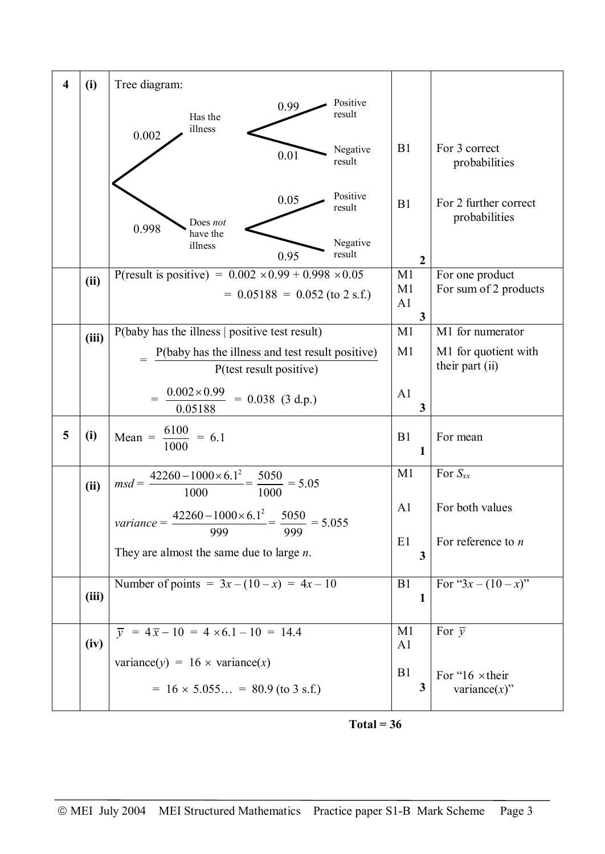| $\overline{\mathbf{4}}$ | (i)   | Tree diagram:                                                                                      |                                  |                                             |
|-------------------------|-------|----------------------------------------------------------------------------------------------------|----------------------------------|---------------------------------------------|
|                         |       | Positive<br>0.99<br>result<br>Has the                                                              |                                  |                                             |
|                         |       | illness<br>0.002                                                                                   |                                  |                                             |
|                         |       | Negative<br>0.01<br>result                                                                         | B1                               | For 3 correct<br>probabilities              |
|                         |       | Positive<br>0.05<br>result<br>Does not<br>0.998                                                    | B1                               | For 2 further correct<br>probabilities      |
|                         |       | have the<br>Negative<br>illness<br>result<br>0.95                                                  | $\boldsymbol{2}$                 |                                             |
|                         | (ii)  | P(result is positive) = $0.002 \times 0.99 + 0.998 \times 0.05$<br>$= 0.05188 = 0.052$ (to 2 s.f.) | M1<br>M1<br>A1                   | For one product<br>For sum of 2 products    |
|                         | (iii) | P(baby has the illness   positive test result)                                                     | $\mathbf{3}$<br>M1               | M1 for numerator                            |
|                         |       | P(baby has the illness and test result positive)<br>P(test result positive)                        | M1                               | M1 for quotient with<br>their part (ii)     |
|                         |       | $0.002 \times 0.99$<br>$= 0.038$ (3 d.p.)<br>0.05188                                               | A1<br>3                          |                                             |
| 5                       | (i)   | Mean = $\frac{6100}{1000}$ = 6.1                                                                   | B1<br>1                          | For mean                                    |
|                         | (ii)  | $msd = \frac{42260 - 1000 \times 6.1^2}{1000} = \frac{5050}{1000} = 5.05$                          | M <sub>1</sub>                   | For $S_{xx}$                                |
|                         |       | $\frac{42260 - 1000 \times 6.1^2}{1000} = \frac{5050}{1000} = 5.055$<br>variance $=$ $-$           | A1                               | For both values                             |
|                         |       | 999<br>999<br>They are almost the same due to large $n$ .                                          | E1<br>3                          | For reference to $n$                        |
|                         | (iii) | Number of points = $3x - (10 - x) = 4x - 10$                                                       | B1<br>$\mathbf{1}$               | For " $3x - (10 - x)$ "                     |
|                         | (iv)  | $\overline{y}$ = 4 $\overline{x}$ - 10 = 4 × 6.1 - 10 = 14.4                                       | M <sub>1</sub><br>A <sub>1</sub> | For $\overline{v}$                          |
|                         |       | variance(y) = $16 \times$ variance(x)                                                              | B1                               |                                             |
|                         |       | $= 16 \times 5.055 = 80.9$ (to 3 s.f.)                                                             | 3                                | For " $16 \times$ their<br>variance $(x)$ " |

 $Total = 36$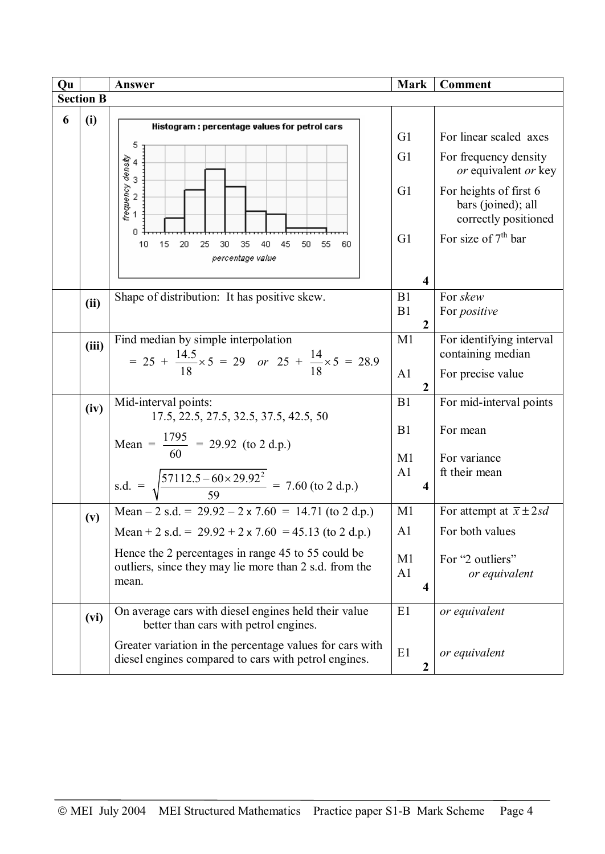| Qu |                  | Answer                                                                                                           | <b>Mark</b>             | <b>Comment</b>                                                       |  |  |
|----|------------------|------------------------------------------------------------------------------------------------------------------|-------------------------|----------------------------------------------------------------------|--|--|
|    | <b>Section B</b> |                                                                                                                  |                         |                                                                      |  |  |
| 6  | (i)              |                                                                                                                  |                         |                                                                      |  |  |
|    |                  | Histogram : percentage values for petrol cars<br>5                                                               | G <sub>1</sub>          | For linear scaled axes                                               |  |  |
|    |                  | 3                                                                                                                | G <sub>1</sub>          | For frequency density<br>or equivalent or key                        |  |  |
|    |                  | frequency density                                                                                                | G1                      | For heights of first 6<br>bars (joined); all<br>correctly positioned |  |  |
|    |                  | n<br>15<br>10<br>20<br>40<br>45<br>50<br>25<br>30<br>35<br>55<br>60<br>percentage value                          | G1                      | For size of $7th$ bar                                                |  |  |
|    |                  |                                                                                                                  | $\overline{\mathbf{4}}$ |                                                                      |  |  |
|    |                  | Shape of distribution: It has positive skew.                                                                     | B1                      | For skew                                                             |  |  |
|    | (ii)             |                                                                                                                  | B1                      | For <i>positive</i>                                                  |  |  |
|    |                  |                                                                                                                  | $\overline{2}$          |                                                                      |  |  |
|    | (iii)            | Find median by simple interpolation                                                                              | M1                      | For identifying interval                                             |  |  |
|    |                  | = $25 + \frac{14.5}{18} \times 5 = 29$ or $25 + \frac{14}{18} \times 5 = 28.9$                                   |                         | containing median                                                    |  |  |
|    |                  |                                                                                                                  | A1                      | For precise value                                                    |  |  |
|    |                  |                                                                                                                  | $\overline{2}$          |                                                                      |  |  |
|    | (iv)             | Mid-interval points:<br>17.5, 22.5, 27.5, 32.5, 37.5, 42.5, 50                                                   | B1                      | For mid-interval points                                              |  |  |
|    |                  |                                                                                                                  | B1                      | For mean                                                             |  |  |
|    |                  | Mean = $\frac{1795}{60}$ = 29.92 (to 2 d.p.)                                                                     |                         |                                                                      |  |  |
|    |                  |                                                                                                                  | M1                      | For variance                                                         |  |  |
|    |                  | s.d. = $\sqrt{\frac{57112.5 - 60 \times 29.92^2}{59}}$ = 7.60 (to 2 d.p.)                                        | A <sub>1</sub><br>4     | ft their mean                                                        |  |  |
|    | (v)              | Mean $-2$ s.d. = 29.92 $-2 \times 7.60 = 14.71$ (to 2 d.p.)                                                      | M <sub>1</sub>          | For attempt at $\bar{x} \pm 2sd$                                     |  |  |
|    |                  | Mean + 2 s.d. = $29.92 + 2 \times 7.60 = 45.13$ (to 2 d.p.)                                                      | A1                      | For both values                                                      |  |  |
|    |                  | Hence the 2 percentages in range 45 to 55 could be                                                               | M <sub>1</sub>          | For "2 outliers"                                                     |  |  |
|    |                  | outliers, since they may lie more than 2 s.d. from the                                                           | A1                      | or equivalent                                                        |  |  |
|    |                  | mean.                                                                                                            | 4                       |                                                                      |  |  |
|    | (vi)             | On average cars with diesel engines held their value<br>better than cars with petrol engines.                    | E1                      | or equivalent                                                        |  |  |
|    |                  | Greater variation in the percentage values for cars with<br>diesel engines compared to cars with petrol engines. | E1<br>$\boldsymbol{2}$  | or equivalent                                                        |  |  |